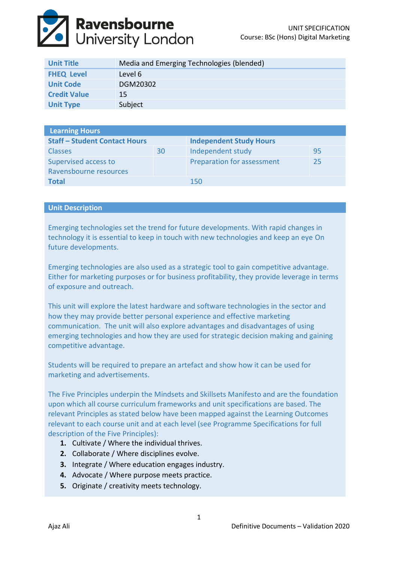

| <b>Unit Title</b>   | Media and Emerging Technologies (blended) |
|---------------------|-------------------------------------------|
| <b>FHEQ Level</b>   | Level 6                                   |
| <b>Unit Code</b>    | DGM20302                                  |
| <b>Credit Value</b> | 15                                        |
| <b>Unit Type</b>    | Subject                                   |

| <b>Learning Hours</b>                |    |                                |    |  |  |
|--------------------------------------|----|--------------------------------|----|--|--|
| <b>Staff - Student Contact Hours</b> |    | <b>Independent Study Hours</b> |    |  |  |
| <b>Classes</b>                       | 30 | Independent study              | 95 |  |  |
| Supervised access to                 |    | Preparation for assessment     | 25 |  |  |
| Ravensbourne resources               |    |                                |    |  |  |
| <b>Total</b>                         |    | 150                            |    |  |  |

### **Unit Description**

Emerging technologies set the trend for future developments. With rapid changes in technology it is essential to keep in touch with new technologies and keep an eye On future developments.

Emerging technologies are also used as a strategic tool to gain competitive advantage. Either for marketing purposes or for business profitability, they provide leverage in terms of exposure and outreach.

This unit will explore the latest hardware and software technologies in the sector and how they may provide better personal experience and effective marketing communication. The unit will also explore advantages and disadvantages of using emerging technologies and how they are used for strategic decision making and gaining competitive advantage.

Students will be required to prepare an artefact and show how it can be used for marketing and advertisements.

The Five Principles underpin the Mindsets and Skillsets Manifesto and are the foundation upon which all course curriculum frameworks and unit specifications are based. The relevant Principles as stated below have been mapped against the Learning Outcomes relevant to each course unit and at each level (see Programme Specifications for full description of the Five Principles):

- **1.** Cultivate / Where the individual thrives.
- **2.** Collaborate / Where disciplines evolve.
- **3.** Integrate / Where education engages industry.
- **4.** Advocate / Where purpose meets practice.
- **5.** Originate / creativity meets technology.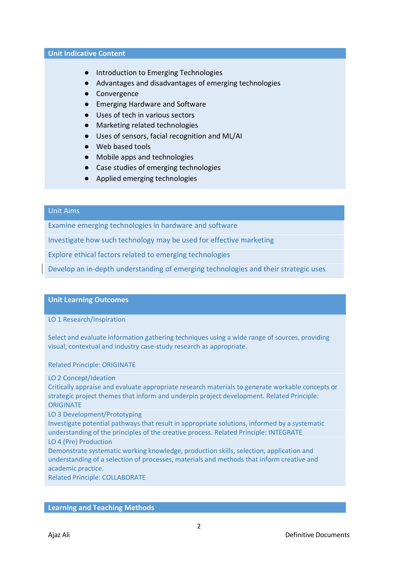### **Unit Indicative Content**

- Introduction to Emerging Technologies
- Advantages and disadvantages of emerging technologies
- Convergence
- Emerging Hardware and Software
- Uses of tech in various sectors
- Marketing related technologies
- Uses of sensors, facial recognition and ML/AI
- Web based tools
- Mobile apps and technologies
- Case studies of emerging technologies
- Applied emerging technologies

# Unit Aims

Examine emerging technologies in hardware and software

Investigate how such technology may be used for effective marketing

Explore ethical factors related to emerging technologies

Develop an in-depth understanding of emerging technologies and their strategic uses

### **Unit Learning Outcomes**

LO 1 Research/Inspiration

Select and evaluate information gathering techniques using a wide range of sources, providing visual, contextual and industry case-study research as appropriate.

Related Principle: ORIGINATE

LO 2 Concept/Ideation

Critically appraise and evaluate appropriate research materials to generate workable concepts or strategic project themes that inform and underpin project development. Related Principle: **ORIGINATE** 

LO 3 Development/Prototyping

Investigate potential pathways that result in appropriate solutions, informed by a systematic understanding of the principles of the creative process. Related Principle: INTEGRATE LO 4 (Pre) Production

Demonstrate systematic working knowledge, production skills, selection, application and understanding of a selection of processes, materials and methods that inform creative and academic practice.

Related Principle: COLLABORATE

#### **Learning and Teaching Methods**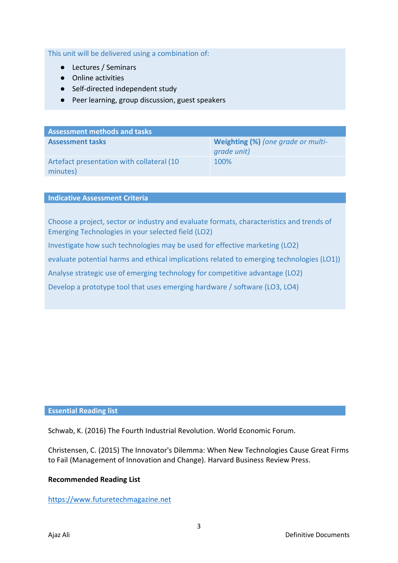# This unit will be delivered using a combination of:

- Lectures / Seminars
- Online activities
- Self-directed independent study
- Peer learning, group discussion, guest speakers

| <b>Assessment methods and tasks</b>                    |                                                   |  |  |
|--------------------------------------------------------|---------------------------------------------------|--|--|
| <b>Assessment tasks</b>                                | Weighting (%) (one grade or multi-<br>grade unit) |  |  |
| Artefact presentation with collateral (10)<br>minutes) | 100%                                              |  |  |

# **Indicative Assessment Criteria**

Choose a project, sector or industry and evaluate formats, characteristics and trends of Emerging Technologies in your selected field (LO2)

Investigate how such technologies may be used for effective marketing (LO2)

evaluate potential harms and ethical implications related to emerging technologies (LO1))

Analyse strategic use of emerging technology for competitive advantage (LO2)

Develop a prototype tool that uses emerging hardware / software (LO3, LO4)

### **Essential Reading list**

Schwab, K. (2016) The Fourth Industrial Revolution. World Economic Forum.

Christensen, C. (2015) The Innovator's Dilemma: When New Technologies Cause Great Firms to Fail (Management of Innovation and Change). Harvard Business Review Press.

### **Recommended Reading List**

[https://www.futuretechmagazine.net](https://www.futuretechmagazine.net/)